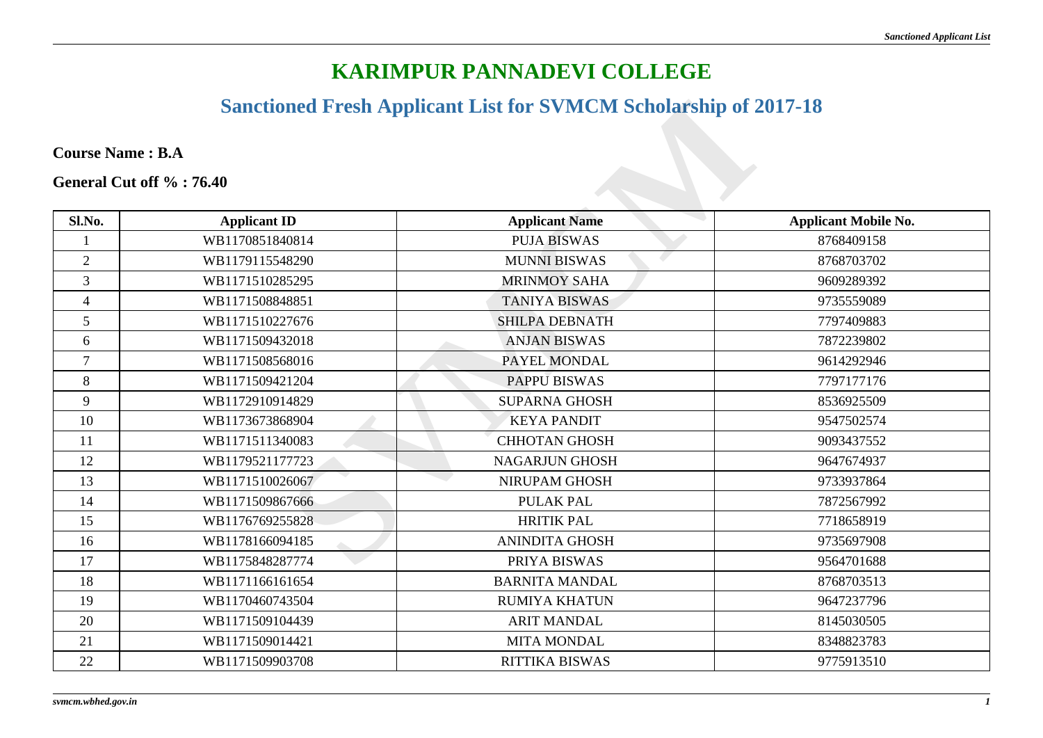#### **Sanctioned Fresh Applicant List for SVMCM Scholarship of 2017-18**

|                         | <b>Sanctioned Fresh Applicant List for SVMCM Scholarship of 2017-18</b> |                       |                             |  |
|-------------------------|-------------------------------------------------------------------------|-----------------------|-----------------------------|--|
| <b>Course Name: B.A</b> |                                                                         |                       |                             |  |
|                         | General Cut off %: 76.40                                                |                       |                             |  |
| Sl.No.                  | <b>Applicant ID</b>                                                     | <b>Applicant Name</b> | <b>Applicant Mobile No.</b> |  |
| $\mathbf{1}$            | WB1170851840814                                                         | <b>PUJA BISWAS</b>    | 8768409158                  |  |
| $\overline{2}$          | WB1179115548290                                                         | <b>MUNNI BISWAS</b>   | 8768703702                  |  |
| $\overline{3}$          | WB1171510285295                                                         | <b>MRINMOY SAHA</b>   | 9609289392                  |  |
| $\overline{4}$          | WB1171508848851                                                         | <b>TANIYA BISWAS</b>  | 9735559089                  |  |
| 5                       | WB1171510227676                                                         | <b>SHILPA DEBNATH</b> | 7797409883                  |  |
| 6                       | WB1171509432018                                                         | <b>ANJAN BISWAS</b>   | 7872239802                  |  |
| $\overline{7}$          | WB1171508568016                                                         | PAYEL MONDAL          | 9614292946                  |  |
| 8                       | WB1171509421204                                                         | <b>PAPPU BISWAS</b>   | 7797177176                  |  |
| 9                       | WB1172910914829                                                         | <b>SUPARNA GHOSH</b>  | 8536925509                  |  |
| 10                      | WB1173673868904                                                         | <b>KEYA PANDIT</b>    | 9547502574                  |  |
| 11                      | WB1171511340083                                                         | <b>CHHOTAN GHOSH</b>  | 9093437552                  |  |
| 12                      | WB1179521177723                                                         | <b>NAGARJUN GHOSH</b> | 9647674937                  |  |
| 13                      | WB1171510026067                                                         | NIRUPAM GHOSH         | 9733937864                  |  |
| 14                      | WB1171509867666                                                         | <b>PULAK PAL</b>      | 7872567992                  |  |
| 15                      | WB1176769255828                                                         | <b>HRITIK PAL</b>     | 7718658919                  |  |
| 16                      | WB1178166094185                                                         | <b>ANINDITA GHOSH</b> | 9735697908                  |  |
| 17                      | WB1175848287774                                                         | PRIYA BISWAS          | 9564701688                  |  |
| 18                      | WB1171166161654                                                         | <b>BARNITA MANDAL</b> | 8768703513                  |  |
| 19                      | WB1170460743504                                                         | <b>RUMIYA KHATUN</b>  | 9647237796                  |  |
| 20                      | WB1171509104439                                                         | <b>ARIT MANDAL</b>    | 8145030505                  |  |
| 21                      | WB1171509014421                                                         | <b>MITA MONDAL</b>    | 8348823783                  |  |
| 22                      | WB1171509903708                                                         | <b>RITTIKA BISWAS</b> | 9775913510                  |  |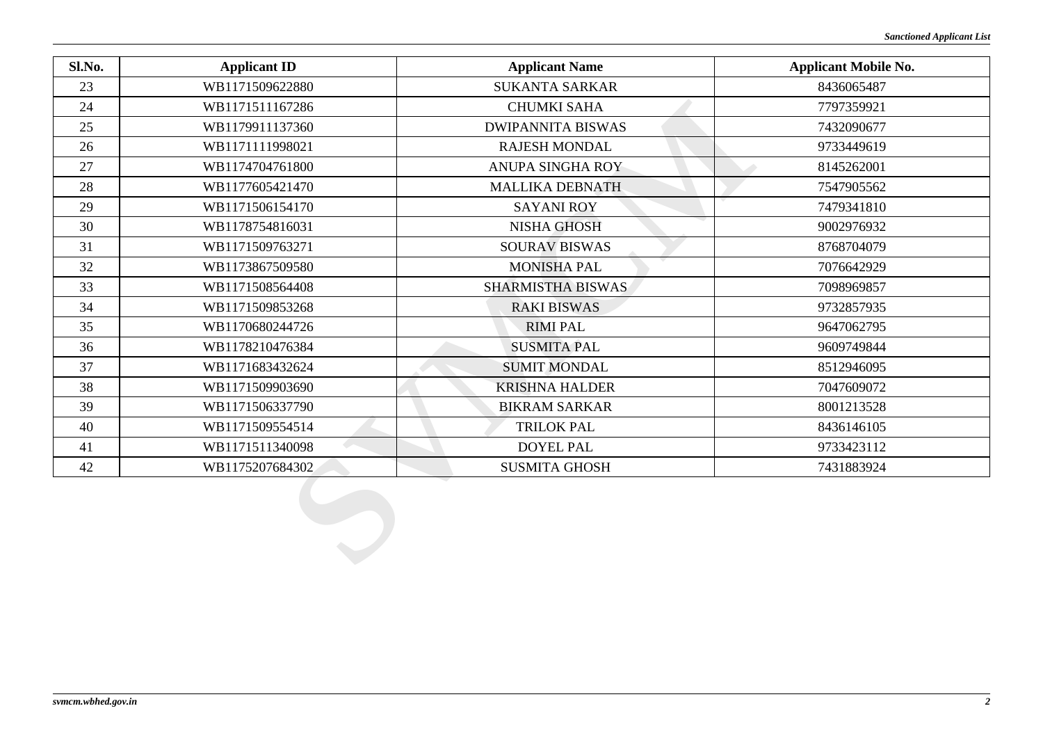| Sl.No. | <b>Applicant ID</b> | <b>Applicant Name</b>    | <b>Applicant Mobile No.</b> |
|--------|---------------------|--------------------------|-----------------------------|
| 23     | WB1171509622880     | <b>SUKANTA SARKAR</b>    | 8436065487                  |
| 24     | WB1171511167286     | <b>CHUMKI SAHA</b>       | 7797359921                  |
| 25     | WB1179911137360     | <b>DWIPANNITA BISWAS</b> | 7432090677                  |
| 26     | WB1171111998021     | <b>RAJESH MONDAL</b>     | 9733449619                  |
| 27     | WB1174704761800     | <b>ANUPA SINGHA ROY</b>  | 8145262001                  |
| 28     | WB1177605421470     | <b>MALLIKA DEBNATH</b>   | 7547905562                  |
| 29     | WB1171506154170     | <b>SAYANI ROY</b>        | 7479341810                  |
| 30     | WB1178754816031     | <b>NISHA GHOSH</b>       | 9002976932                  |
| 31     | WB1171509763271     | <b>SOURAV BISWAS</b>     | 8768704079                  |
| 32     | WB1173867509580     | <b>MONISHA PAL</b>       | 7076642929                  |
| 33     | WB1171508564408     | <b>SHARMISTHA BISWAS</b> | 7098969857                  |
| 34     | WB1171509853268     | <b>RAKI BISWAS</b>       | 9732857935                  |
| 35     | WB1170680244726     | <b>RIMI PAL</b>          | 9647062795                  |
| 36     | WB1178210476384     | <b>SUSMITA PAL</b>       | 9609749844                  |
| 37     | WB1171683432624     | <b>SUMIT MONDAL</b>      | 8512946095                  |
| 38     | WB1171509903690     | <b>KRISHNA HALDER</b>    | 7047609072                  |
| 39     | WB1171506337790     | <b>BIKRAM SARKAR</b>     | 8001213528                  |
| 40     | WB1171509554514     | <b>TRILOK PAL</b>        | 8436146105                  |
| 41     | WB1171511340098     | <b>DOYEL PAL</b>         | 9733423112                  |
| 42     | WB1175207684302     | <b>SUSMITA GHOSH</b>     | 7431883924                  |
|        |                     |                          |                             |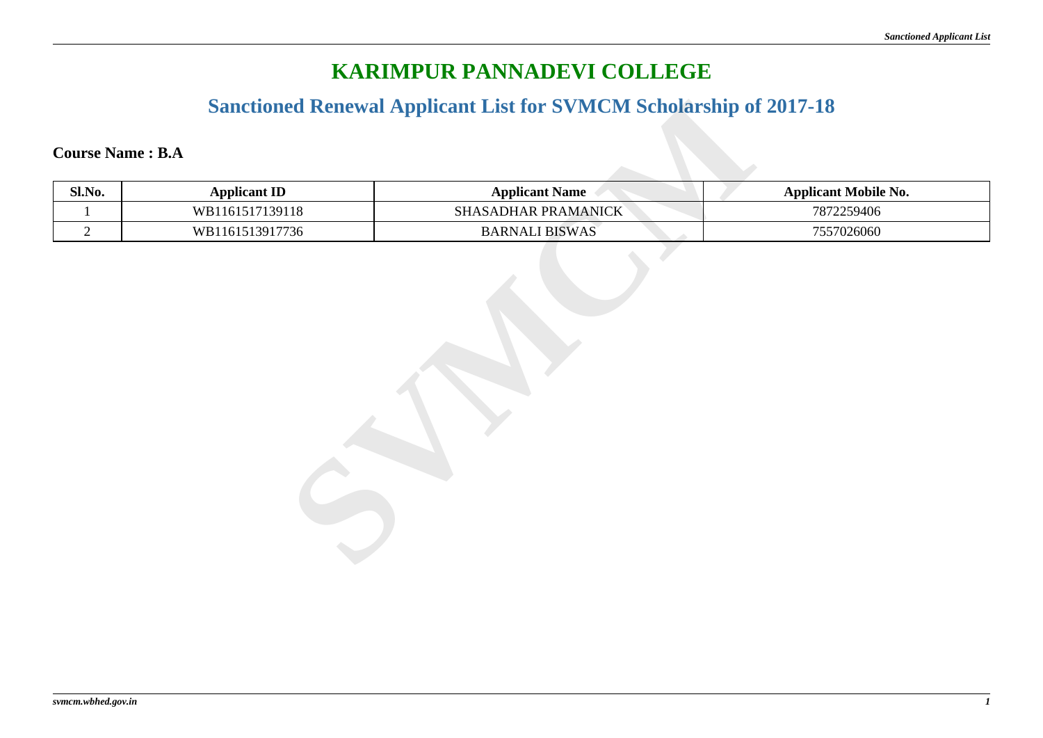#### **Sanctioned Renewal Applicant List for SVMCM Scholarship of 2017-18**

| Sl.No.         | <b>Applicant ID</b> | <b>Applicant Name</b> | <b>Applicant Mobile No.</b> |
|----------------|---------------------|-----------------------|-----------------------------|
| 1              | WB1161517139118     | SHASADHAR PRAMANICK   | 7872259406                  |
| $\overline{2}$ | WB1161513917736     | <b>BARNALI BISWAS</b> | 7557026060                  |
|                |                     |                       |                             |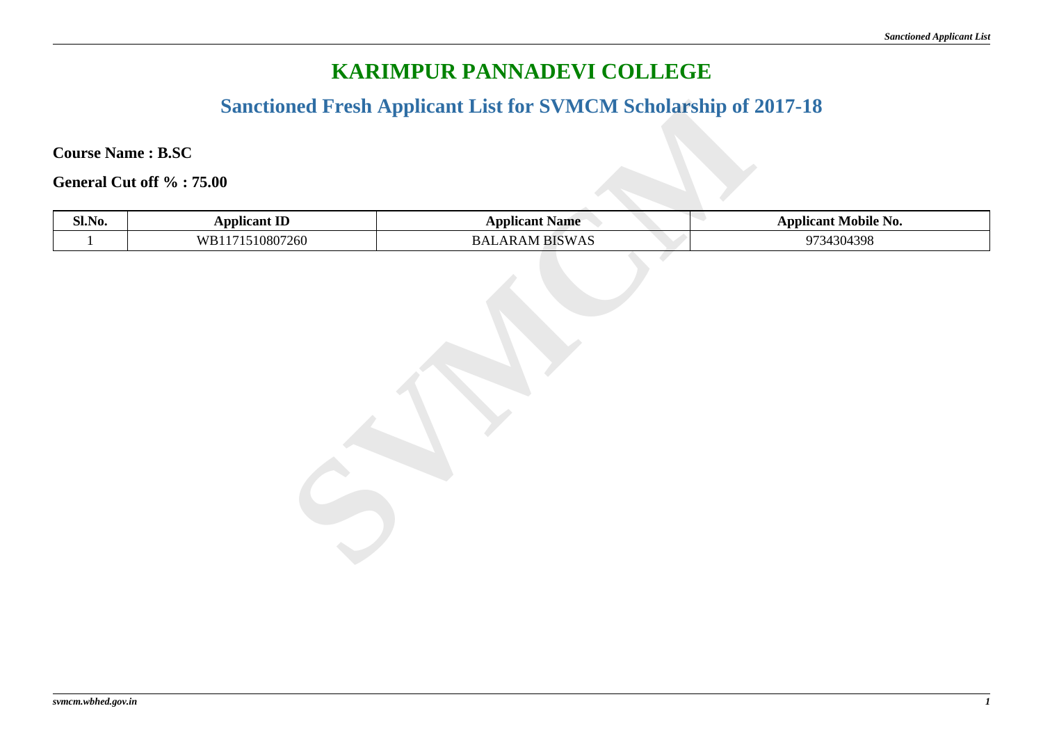#### **Sanctioned Fresh Applicant List for SVMCM Scholarship of 2017-18**

|        | <b>Sanctioned Fresh Applicant List for SVMCM Scholarship of 2017-18</b> |                       |                             |  |
|--------|-------------------------------------------------------------------------|-----------------------|-----------------------------|--|
|        | <b>Course Name: B.SC</b>                                                |                       |                             |  |
|        | General Cut off %: 75.00                                                |                       |                             |  |
| Sl.No. | <b>Applicant ID</b>                                                     | <b>Applicant Name</b> | <b>Applicant Mobile No.</b> |  |
|        | WB1171510807260                                                         | <b>BALARAM BISWAS</b> | 9734304398                  |  |
|        |                                                                         |                       |                             |  |